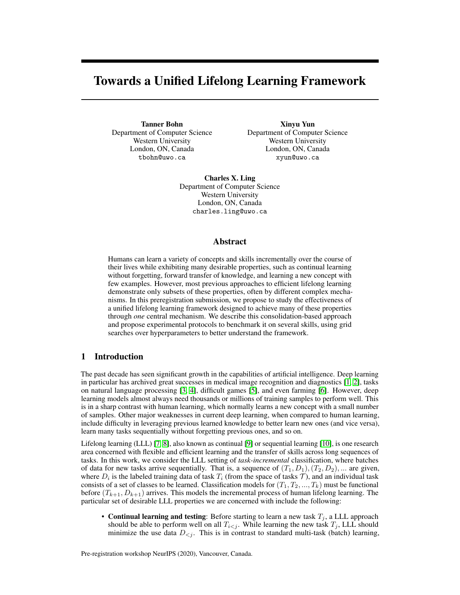# Towards a Unified Lifelong Learning Framework

Tanner Bohn Department of Computer Science Western University London, ON, Canada tbohn@uwo.ca

Xinyu Yun Department of Computer Science Western University London, ON, Canada xyun@uwo.ca

Charles X. Ling Department of Computer Science Western University London, ON, Canada charles.ling@uwo.ca

## Abstract

Humans can learn a variety of concepts and skills incrementally over the course of their lives while exhibiting many desirable properties, such as continual learning without forgetting, forward transfer of knowledge, and learning a new concept with few examples. However, most previous approaches to efficient lifelong learning demonstrate only subsets of these properties, often by different complex mechanisms. In this preregistration submission, we propose to study the effectiveness of a unified lifelong learning framework designed to achieve many of these properties through *one* central mechanism. We describe this consolidation-based approach and propose experimental protocols to benchmark it on several skills, using grid searches over hyperparameters to better understand the framework.

# <span id="page-0-0"></span>1 Introduction

The past decade has seen significant growth in the capabilities of artificial intelligence. Deep learning in particular has archived great successes in medical image recognition and diagnostics [\[1,](#page-5-0) [2\]](#page-5-1), tasks on natural language processing [\[3,](#page-5-2) [4\]](#page-5-3), difficult games [\[5\]](#page-6-0), and even farming [\[6\]](#page-6-1). However, deep learning models almost always need thousands or millions of training samples to perform well. This is in a sharp contrast with human learning, which normally learns a new concept with a small number of samples. Other major weaknesses in current deep learning, when compared to human learning, include difficulty in leveraging previous learned knowledge to better learn new ones (and vice versa), learn many tasks sequentially without forgetting previous ones, and so on.

Lifelong learning (LLL) [\[7,](#page-6-2) [8\]](#page-6-3), also known as continual [\[9\]](#page-6-4) or sequential learning [\[10\]](#page-6-5), is one research area concerned with flexible and efficient learning and the transfer of skills across long sequences of tasks. In this work, we consider the LLL setting of *task-incremental* classification, where batches of data for new tasks arrive sequentially. That is, a sequence of  $(T_1, D_1), (T_2, D_2), \dots$  are given, where  $D_i$  is the labeled training data of task  $T_i$  (from the space of tasks  $\mathcal T$ ), and an individual task consists of a set of classes to be learned. Classification models for  $(T_1, T_2, ..., T_k)$  must be functional before  $(T_{k+1}, D_{k+1})$  arrives. This models the incremental process of human lifelong learning. The particular set of desirable LLL properties we are concerned with include the following:

• Continual learning and testing: Before starting to learn a new task  $T_j$ , a LLL approach should be able to perform well on all  $T_{i \leq j}$ . While learning the new task  $T_j$ , LLL should minimize the use data  $D_{\leq j}$ . This is in contrast to standard multi-task (batch) learning,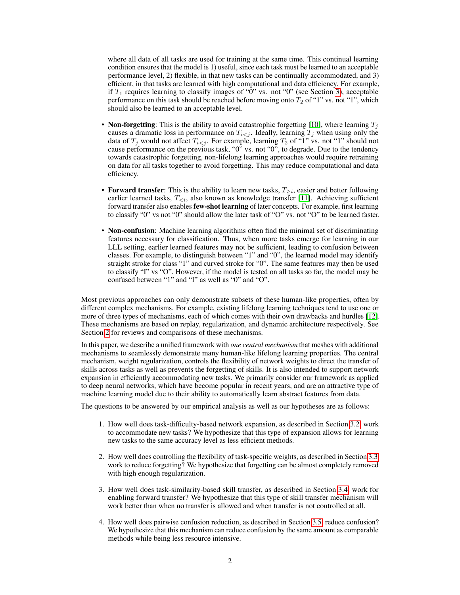where all data of all tasks are used for training at the same time. This continual learning condition ensures that the model is 1) useful, since each task must be learned to an acceptable performance level, 2) flexible, in that new tasks can be continually accommodated, and 3) efficient, in that tasks are learned with high computational and data efficiency. For example, if  $T_1$  requires learning to classify images of " $\hat{0}$ " vs. not " $0$ " (see Section [3\)](#page-2-0), acceptable performance on this task should be reached before moving onto  $T_2$  of "1" vs. not "1", which should also be learned to an acceptable level.

- Non-forgetting: This is the ability to avoid catastrophic forgetting [\[10\]](#page-6-5), where learning  $T_i$ causes a dramatic loss in performance on  $T_{i \leq j}$ . Ideally, learning  $T_j$  when using only the data of  $T_j$  would not affect  $T_{i \leq j}$ . For example, learning  $T_2$  of "1" vs. not "1" should not cause performance on the previous task, "0" vs. not "0", to degrade. Due to the tendency towards catastrophic forgetting, non-lifelong learning approaches would require retraining on data for all tasks together to avoid forgetting. This may reduce computational and data efficiency.
- Forward transfer: This is the ability to learn new tasks,  $T_{\geq i}$ , easier and better following earlier learned tasks,  $T_{\leq i}$ , also known as knowledge transfer [\[11\]](#page-6-6). Achieving sufficient forward transfer also enables few-shot learning of later concepts. For example, first learning to classify "0" vs not "0" should allow the later task of "O" vs. not "O" to be learned faster.
- Non-confusion: Machine learning algorithms often find the minimal set of discriminating features necessary for classification. Thus, when more tasks emerge for learning in our LLL setting, earlier learned features may not be sufficient, leading to confusion between classes. For example, to distinguish between "1" and "0", the learned model may identify straight stroke for class "1" and curved stroke for "0". The same features may then be used to classify "I" vs "O". However, if the model is tested on all tasks so far, the model may be confused between "1" and "I" as well as "0" and "O".

Most previous approaches can only demonstrate subsets of these human-like properties, often by different complex mechanisms. For example, existing lifelong learning techniques tend to use one or more of three types of mechanisms, each of which comes with their own drawbacks and hurdles [\[12\]](#page-6-7). These mechanisms are based on replay, regularization, and dynamic architecture respectively. See Section [2](#page-2-1) for reviews and comparisons of these mechanisms.

In this paper, we describe a unified framework with *one central mechanism* that meshes with additional mechanisms to seamlessly demonstrate many human-like lifelong learning properties. The central mechanism, weight regularization, controls the flexibility of network weights to direct the transfer of skills across tasks as well as prevents the forgetting of skills. It is also intended to support network expansion in efficiently accommodating new tasks. We primarily consider our framework as applied to deep neural networks, which have become popular in recent years, and are an attractive type of machine learning model due to their ability to automatically learn abstract features from data.

The questions to be answered by our empirical analysis as well as our hypotheses are as follows:

- 1. How well does task-difficulty-based network expansion, as described in Section [3.2,](#page-3-0) work to accommodate new tasks? We hypothesize that this type of expansion allows for learning new tasks to the same accuracy level as less efficient methods.
- 2. How well does controlling the flexibility of task-specific weights, as described in Section [3.3,](#page-4-0) work to reduce forgetting? We hypothesize that forgetting can be almost completely removed with high enough regularization.
- 3. How well does task-similarity-based skill transfer, as described in Section [3.4,](#page-4-1) work for enabling forward transfer? We hypothesize that this type of skill transfer mechanism will work better than when no transfer is allowed and when transfer is not controlled at all.
- 4. How well does pairwise confusion reduction, as described in Section [3.5,](#page-5-4) reduce confusion? We hypothesize that this mechanism can reduce confusion by the same amount as comparable methods while being less resource intensive.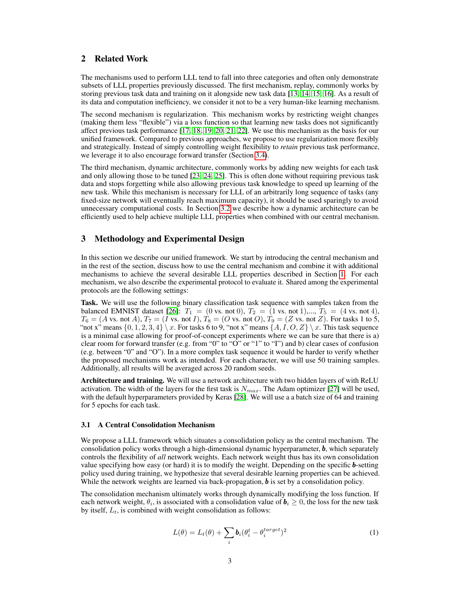# <span id="page-2-1"></span>2 Related Work

The mechanisms used to perform LLL tend to fall into three categories and often only demonstrate subsets of LLL properties previously discussed. The first mechanism, replay, commonly works by storing previous task data and training on it alongside new task data [\[13,](#page-6-8) [14,](#page-6-9) [15,](#page-6-10) [16\]](#page-6-11). As a result of its data and computation inefficiency, we consider it not to be a very human-like learning mechanism.

The second mechanism is regularization. This mechanism works by restricting weight changes (making them less "flexible") via a loss function so that learning new tasks does not significantly affect previous task performance [\[17,](#page-6-12) [18,](#page-6-13) [19,](#page-6-14) [20,](#page-6-15) [21,](#page-6-16) [22\]](#page-6-17). We use this mechanism as the basis for our unified framework. Compared to previous approaches, we propose to use regularization more flexibly and strategically. Instead of simply controlling weight flexibility to *retain* previous task performance, we leverage it to also encourage forward transfer (Section [3.4\)](#page-4-1).

The third mechanism, dynamic architecture, commonly works by adding new weights for each task and only allowing those to be tuned [\[23,](#page-6-18) [24,](#page-7-0) [25\]](#page-7-1). This is often done without requiring previous task data and stops forgetting while also allowing previous task knowledge to speed up learning of the new task. While this mechanism is necessary for LLL of an arbitrarily long sequence of tasks (any fixed-size network will eventually reach maximum capacity), it should be used sparingly to avoid unnecessary computational costs. In Section [3.2](#page-3-0) we describe how a dynamic architecture can be efficiently used to help achieve multiple LLL properties when combined with our central mechanism.

# <span id="page-2-0"></span>3 Methodology and Experimental Design

In this section we describe our unified framework. We start by introducing the central mechanism and in the rest of the section, discuss how to use the central mechanism and combine it with additional mechanisms to achieve the several desirable LLL properties described in Section [1.](#page-0-0) For each mechanism, we also describe the experimental protocol to evaluate it. Shared among the experimental protocols are the following settings:

Task. We will use the following binary classification task sequence with samples taken from the balanced EMNIST dataset [\[26\]](#page-7-2):  $T_1 = (0 \text{ vs. not } 0), T_2 = (1 \text{ vs. not } 1),..., T_5 = (4 \text{ vs. not } 4),$  $T_6 = (A \text{ vs. not } A), T_7 = (I \text{ vs. not } I), T_8 = (O \text{ vs. not } O), T_9 = (Z \text{ vs. not } Z)$ . For tasks 1 to 5, "not x" means  $\{0, 1, 2, 3, 4\} \setminus x$ . For tasks 6 to 9, "not x" means  $\{A, I, O, Z\} \setminus x$ . This task sequence is a minimal case allowing for proof-of-concept experiments where we can be sure that there is a) clear room for forward transfer (e.g. from "0" to "O" or "1" to "I") and b) clear cases of confusion (e.g. between "0" and "O"). In a more complex task sequence it would be harder to verify whether the proposed mechanisms work as intended. For each character, we will use 50 training samples. Additionally, all results will be averaged across 20 random seeds.

Architecture and training. We will use a network architecture with two hidden layers of with ReLU activation. The width of the layers for the first task is  $N_{max}$ . The Adam optimizer [\[27\]](#page-7-3) will be used, with the default hyperparameters provided by Keras [\[28\]](#page-7-4). We will use a a batch size of 64 and training for 5 epochs for each task.

## 3.1 A Central Consolidation Mechanism

We propose a LLL framework which situates a consolidation policy as the central mechanism. The consolidation policy works through a high-dimensional dynamic hyperparameter,  $\boldsymbol{b}$ , which separately controls the flexibility of *all* network weights. Each network weight thus has its own consolidation value specifying how easy (or hard) it is to modify the weight. Depending on the specific **-setting** policy used during training, we hypothesize that several desirable learning properties can be achieved. While the network weights are learned via back-propagation,  $\boldsymbol{b}$  is set by a consolidation policy.

<span id="page-2-2"></span>The consolidation mechanism ultimately works through dynamically modifying the loss function. If each network weight,  $\theta_i$ , is associated with a consolidation value of  $\bm{b}_i \geq 0$ , the loss for the new task by itself,  $L_t$ , is combined with weight consolidation as follows:

$$
L(\theta) = L_t(\theta) + \sum_i \mathbf{b}_i (\theta_i^t - \theta_i^{target})^2
$$
 (1)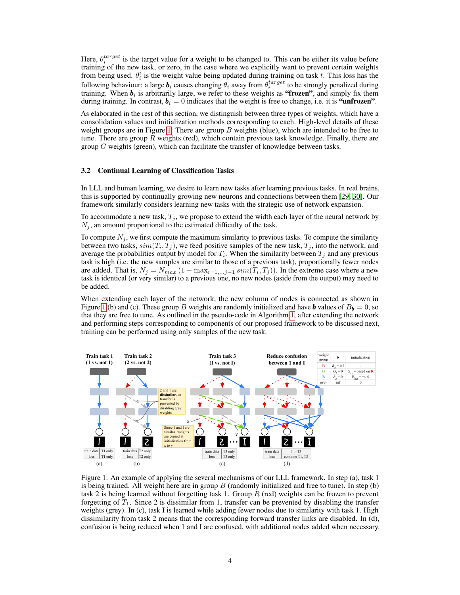Here,  $\theta_i^{target}$  is the target value for a weight to be changed to. This can be either its value before training of the new task, or zero, in the case where we explicitly want to prevent certain weights from being used.  $\theta_i^t$  is the weight value being updated during training on task t. This loss has the following behaviour: a large  $b_i$  causes changing  $\theta_i$  away from  $\theta_i^{target}$  to be strongly penalized during training. When  $b_i$  is arbitrarily large, we refer to these weights as "frozen", and simply fix them during training. In contrast,  $\mathbf{b}_i = 0$  indicates that the weight is free to change, i.e. it is "unfrozen".

As elaborated in the rest of this section, we distinguish between three types of weights, which have a consolidation values and initialization methods corresponding to each. High-level details of these weight groups are in Figure [1.](#page-3-1) There are group  $B$  weights (blue), which are intended to be free to tune. There are group R weights (red), which contain previous task knowledge. Finally, there are group  $G$  weights (green), which can facilitate the transfer of knowledge between tasks.

#### <span id="page-3-0"></span>3.2 Continual Learning of Classification Tasks

In LLL and human learning, we desire to learn new tasks after learning previous tasks. In real brains, this is supported by continually growing new neurons and connections between them [\[29,](#page-7-5) [30\]](#page-7-6). Our framework similarly considers learning new tasks with the strategic use of network expansion.

To accommodate a new task,  $T_j$ , we propose to extend the width each layer of the neural network by  $N_i$ , an amount proportional to the estimated difficulty of the task.

To compute  $N_j$ , we first compute the maximum similarity to previous tasks. To compute the similarity between two tasks,  $sim(T_i, T_j)$ , we feed positive samples of the new task,  $T_j$ , into the network, and average the probabilities output by model for  $T_i$ . When the similarity between  $T_j$  and any previous task is high (i.e. the new samples are similar to those of a previous task), proportionally fewer nodes are added. That is,  $N_j = N_{max} (1 - \max_{i=1,...,j-1} sim(T_i, T_j))$ . In the extreme case where a new task is identical (or very similar) to a previous one, no new nodes (aside from the output) may need to be added.

When extending each layer of the network, the new column of nodes is connected as shown in Figure [1](#page-3-1) (b) and (c). These group B weights are randomly initialized and have **b** values of  $B_b = 0$ , so that they are free to tune. As outlined in the pseudo-code in Algorithm [1,](#page-4-2) after extending the network and performing steps corresponding to components of our proposed framework to be discussed next, training can be performed using only samples of the new task.



<span id="page-3-1"></span>Figure 1: An example of applying the several mechanisms of our LLL framework. In step (a), task 1 is being trained. All weight here are in group  $B$  (randomly initialized and free to tune). In step (b) task 2 is being learned without forgetting task 1. Group  $R$  (red) weights can be frozen to prevent forgetting of  $T_1$ . Since 2 is dissimilar from 1, transfer can be prevented by disabling the transfer weights (grey). In (c), task I is learned while adding fewer nodes due to similarity with task 1. High dissimilarity from task 2 means that the corresponding forward transfer links are disabled. In (d), confusion is being reduced when 1 and I are confused, with additional nodes added when necessary.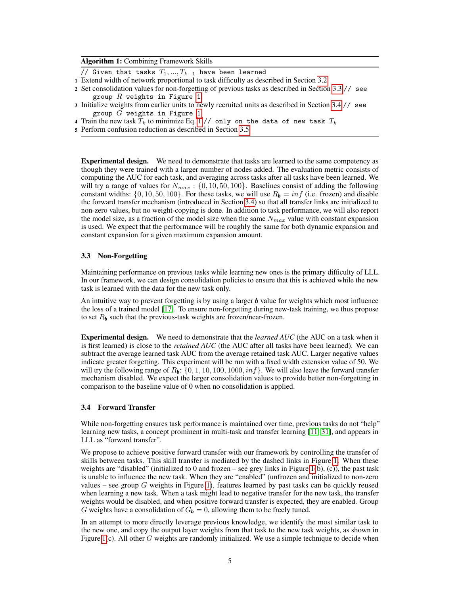|  |  | <b>Algorithm 1: Combining Framework Skills</b> |
|--|--|------------------------------------------------|
|--|--|------------------------------------------------|

// Given that tasks  $T_1, ..., T_{k-1}$  have been learned

- 1 Extend width of network proportional to task difficulty as described in Section [3.2](#page-3-0)
- <sup>2</sup> Set consolidation values for non-forgetting of previous tasks as described in Section [3.3](#page-4-0) // see group  $R$  weights in Figure [1](#page-3-1)
- <sup>3</sup> Initialize weights from earlier units to newly recruited units as described in Section [3.4](#page-4-1) // see group  $G$  weights in Figure [1](#page-3-1)
- 4 Train the new task  $T_k$  to minimize Eq. [1](#page-2-2) // only on the data of new task  $T_k$
- <span id="page-4-2"></span>5 Perform confusion reduction as described in Section [3.5](#page-5-4)

Experimental design. We need to demonstrate that tasks are learned to the same competency as though they were trained with a larger number of nodes added. The evaluation metric consists of computing the AUC for each task, and averaging across tasks after all tasks have been learned. We will try a range of values for  $N_{max}$ : {0, 10, 50, 100}. Baselines consist of adding the following constant widths:  $\{0, 10, 50, 100\}$ . For these tasks, we will use  $R_{\rm b} = inf$  (i.e. frozen) and disable the forward transfer mechanism (introduced in Section [3.4\)](#page-4-1) so that all transfer links are initialized to non-zero values, but no weight-copying is done. In addition to task performance, we will also report the model size, as a fraction of the model size when the same  $N_{max}$  value with constant expansion is used. We expect that the performance will be roughly the same for both dynamic expansion and constant expansion for a given maximum expansion amount.

### <span id="page-4-0"></span>3.3 Non-Forgetting

Maintaining performance on previous tasks while learning new ones is the primary difficulty of LLL. In our framework, we can design consolidation policies to ensure that this is achieved while the new task is learned with the data for the new task only.

An intuitive way to prevent forgetting is by using a larger  **value for weights which most influence** the loss of a trained model [\[17\]](#page-6-12). To ensure non-forgetting during new-task training, we thus propose to set  $R_b$  such that the previous-task weights are frozen/near-frozen.

Experimental design. We need to demonstrate that the *learned AUC* (the AUC on a task when it is first learned) is close to the *retained AUC* (the AUC after all tasks have been learned). We can subtract the average learned task AUC from the average retained task AUC. Larger negative values indicate greater forgetting. This experiment will be run with a fixed width extension value of 50. We will try the following range of  $R_b$ : {0, 1, 10, 100, 1000, inf}. We will also leave the forward transfer mechanism disabled. We expect the larger consolidation values to provide better non-forgetting in comparison to the baseline value of 0 when no consolidation is applied.

#### <span id="page-4-1"></span>3.4 Forward Transfer

While non-forgetting ensures task performance is maintained over time, previous tasks do not "help" learning new tasks, a concept prominent in multi-task and transfer learning [\[11,](#page-6-6) [31\]](#page-7-7), and appears in LLL as "forward transfer".

We propose to achieve positive forward transfer with our framework by controlling the transfer of skills between tasks. This skill transfer is mediated by the dashed links in Figure [1.](#page-3-1) When these weights are "disabled" (initialized to 0 and frozen – see grey links in Figure [1\(](#page-3-1)b),  $(c)$ ), the past task is unable to influence the new task. When they are "enabled" (unfrozen and initialized to non-zero values – see group  $G$  weights in Figure [1\)](#page-3-1), features learned by past tasks can be quickly reused when learning a new task. When a task might lead to negative transfer for the new task, the transfer weights would be disabled, and when positive forward transfer is expected, they are enabled. Group G weights have a consolidation of  $G_{\mathbf{b}} = 0$ , allowing them to be freely tuned.

In an attempt to more directly leverage previous knowledge, we identify the most similar task to the new one, and copy the output layer weights from that task to the new task weights, as shown in Figure [1\(](#page-3-1)c). All other  $G$  weights are randomly initialized. We use a simple technique to decide when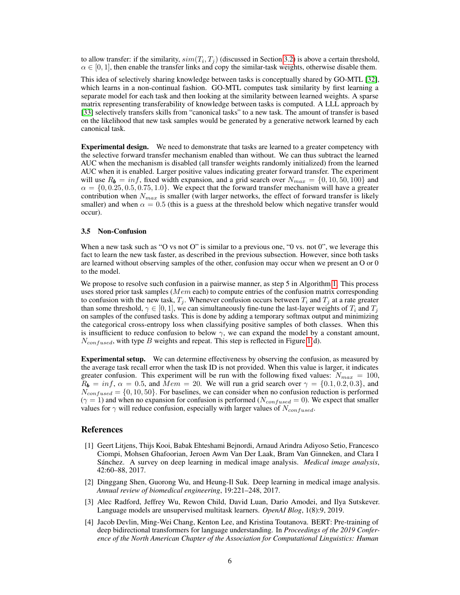to allow transfer: if the similarity,  $sim(T_i, T_j)$  (discussed in Section [3.2\)](#page-3-0) is above a certain threshold,  $\alpha \in [0, 1]$ , then enable the transfer links and copy the similar-task weights, otherwise disable them.

This idea of selectively sharing knowledge between tasks is conceptually shared by GO-MTL [\[32\]](#page-7-8), which learns in a non-continual fashion. GO-MTL computes task similarity by first learning a separate model for each task and then looking at the similarity between learned weights. A sparse matrix representing transferability of knowledge between tasks is computed. A LLL approach by [\[33\]](#page-7-9) selectively transfers skills from "canonical tasks" to a new task. The amount of transfer is based on the likelihood that new task samples would be generated by a generative network learned by each canonical task.

Experimental design. We need to demonstrate that tasks are learned to a greater competency with the selective forward transfer mechanism enabled than without. We can thus subtract the learned AUC when the mechanism is disabled (all transfer weights randomly initialized) from the learned AUC when it is enabled. Larger positive values indicating greater forward transfer. The experiment will use  $R_b = inf$ , fixed width expansion, and a grid search over  $N_{max} = \{0, 10, 50, 100\}$  and  $\alpha = \{0, 0.25, 0.5, 0.75, 1.0\}$ . We expect that the forward transfer mechanism will have a greater contribution when  $N_{max}$  is smaller (with larger networks, the effect of forward transfer is likely smaller) and when  $\alpha = 0.5$  (this is a guess at the threshold below which negative transfer would occur).

#### <span id="page-5-4"></span>3.5 Non-Confusion

When a new task such as "O vs not O" is similar to a previous one, "O vs. not O", we leverage this fact to learn the new task faster, as described in the previous subsection. However, since both tasks are learned without observing samples of the other, confusion may occur when we present an O or 0 to the model.

We propose to resolve such confusion in a pairwise manner, as step 5 in Algorithm [1.](#page-4-2) This process uses stored prior task samples ( $Mem$  each) to compute entries of the confusion matrix corresponding to confusion with the new task,  $T_j$ . Whenever confusion occurs between  $T_i$  and  $T_j$  at a rate greater than some threshold,  $\gamma \in [0, 1]$ , we can simultaneously fine-tune the last-layer weights of  $T_i$  and  $T_j$ on samples of the confused tasks. This is done by adding a temporary softmax output and minimizing the categorical cross-entropy loss when classifying positive samples of both classes. When this is insufficient to reduce confusion to below  $\gamma$ , we can expand the model by a constant amount,  $N_{confused}$ , with type B weights and repeat. This step is reflected in Figure [1\(](#page-3-1)d).

Experimental setup. We can determine effectiveness by observing the confusion, as measured by the average task recall error when the task ID is not provided. When this value is larger, it indicates greater confusion. This experiment will be run with the following fixed values:  $N_{max} = 100$ ,  $R_b = inf, \alpha = 0.5$ , and  $Mem = 20$ . We will run a grid search over  $\gamma = \{0.1, 0.2, 0.3\}$ , and  $N_{confused} = \{0, 10, 50\}$ . For baselines, we can consider when no confusion reduction is performed  $(\gamma = 1)$  and when no expansion for confusion is performed ( $N_{confused} = 0$ ). We expect that smaller values for  $\gamma$  will reduce confusion, especially with larger values of  $N_{confused}$ .

## References

- <span id="page-5-0"></span>[1] Geert Litjens, Thijs Kooi, Babak Ehteshami Bejnordi, Arnaud Arindra Adiyoso Setio, Francesco Ciompi, Mohsen Ghafoorian, Jeroen Awm Van Der Laak, Bram Van Ginneken, and Clara I Sánchez. A survey on deep learning in medical image analysis. *Medical image analysis*, 42:60–88, 2017.
- <span id="page-5-1"></span>[2] Dinggang Shen, Guorong Wu, and Heung-Il Suk. Deep learning in medical image analysis. *Annual review of biomedical engineering*, 19:221–248, 2017.
- <span id="page-5-2"></span>[3] Alec Radford, Jeffrey Wu, Rewon Child, David Luan, Dario Amodei, and Ilya Sutskever. Language models are unsupervised multitask learners. *OpenAI Blog*, 1(8):9, 2019.
- <span id="page-5-3"></span>[4] Jacob Devlin, Ming-Wei Chang, Kenton Lee, and Kristina Toutanova. BERT: Pre-training of deep bidirectional transformers for language understanding. In *Proceedings of the 2019 Conference of the North American Chapter of the Association for Computational Linguistics: Human*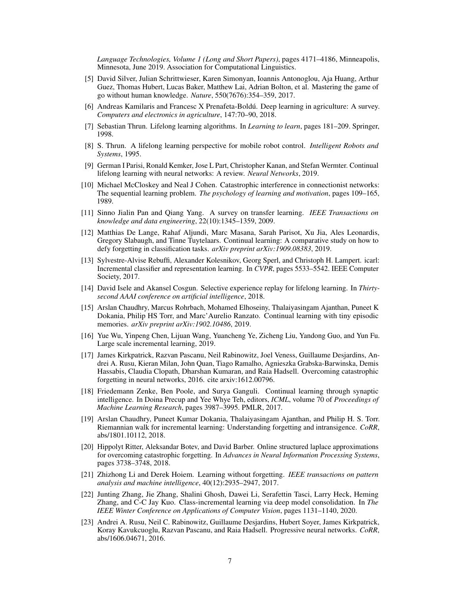*Language Technologies, Volume 1 (Long and Short Papers)*, pages 4171–4186, Minneapolis, Minnesota, June 2019. Association for Computational Linguistics.

- <span id="page-6-0"></span>[5] David Silver, Julian Schrittwieser, Karen Simonyan, Ioannis Antonoglou, Aja Huang, Arthur Guez, Thomas Hubert, Lucas Baker, Matthew Lai, Adrian Bolton, et al. Mastering the game of go without human knowledge. *Nature*, 550(7676):354–359, 2017.
- <span id="page-6-1"></span>[6] Andreas Kamilaris and Francesc X Prenafeta-Boldú. Deep learning in agriculture: A survey. *Computers and electronics in agriculture*, 147:70–90, 2018.
- <span id="page-6-2"></span>[7] Sebastian Thrun. Lifelong learning algorithms. In *Learning to learn*, pages 181–209. Springer, 1998.
- <span id="page-6-3"></span>[8] S. Thrun. A lifelong learning perspective for mobile robot control. *Intelligent Robots and Systems*, 1995.
- <span id="page-6-4"></span>[9] German I Parisi, Ronald Kemker, Jose L Part, Christopher Kanan, and Stefan Wermter. Continual lifelong learning with neural networks: A review. *Neural Networks*, 2019.
- <span id="page-6-5"></span>[10] Michael McCloskey and Neal J Cohen. Catastrophic interference in connectionist networks: The sequential learning problem. *The psychology of learning and motivation*, pages 109–165, 1989.
- <span id="page-6-6"></span>[11] Sinno Jialin Pan and Qiang Yang. A survey on transfer learning. *IEEE Transactions on knowledge and data engineering*, 22(10):1345–1359, 2009.
- <span id="page-6-7"></span>[12] Matthias De Lange, Rahaf Aljundi, Marc Masana, Sarah Parisot, Xu Jia, Ales Leonardis, Gregory Slabaugh, and Tinne Tuytelaars. Continual learning: A comparative study on how to defy forgetting in classification tasks. *arXiv preprint arXiv:1909.08383*, 2019.
- <span id="page-6-8"></span>[13] Sylvestre-Alvise Rebuffi, Alexander Kolesnikov, Georg Sperl, and Christoph H. Lampert. icarl: Incremental classifier and representation learning. In *CVPR*, pages 5533–5542. IEEE Computer Society, 2017.
- <span id="page-6-9"></span>[14] David Isele and Akansel Cosgun. Selective experience replay for lifelong learning. In *Thirtysecond AAAI conference on artificial intelligence*, 2018.
- <span id="page-6-10"></span>[15] Arslan Chaudhry, Marcus Rohrbach, Mohamed Elhoseiny, Thalaiyasingam Ajanthan, Puneet K Dokania, Philip HS Torr, and Marc'Aurelio Ranzato. Continual learning with tiny episodic memories. *arXiv preprint arXiv:1902.10486*, 2019.
- <span id="page-6-11"></span>[16] Yue Wu, Yinpeng Chen, Lijuan Wang, Yuancheng Ye, Zicheng Liu, Yandong Guo, and Yun Fu. Large scale incremental learning, 2019.
- <span id="page-6-12"></span>[17] James Kirkpatrick, Razvan Pascanu, Neil Rabinowitz, Joel Veness, Guillaume Desjardins, Andrei A. Rusu, Kieran Milan, John Quan, Tiago Ramalho, Agnieszka Grabska-Barwinska, Demis Hassabis, Claudia Clopath, Dharshan Kumaran, and Raia Hadsell. Overcoming catastrophic forgetting in neural networks, 2016. cite arxiv:1612.00796.
- <span id="page-6-13"></span>[18] Friedemann Zenke, Ben Poole, and Surya Ganguli. Continual learning through synaptic intelligence. In Doina Precup and Yee Whye Teh, editors, *ICML*, volume 70 of *Proceedings of Machine Learning Research*, pages 3987–3995. PMLR, 2017.
- <span id="page-6-14"></span>[19] Arslan Chaudhry, Puneet Kumar Dokania, Thalaiyasingam Ajanthan, and Philip H. S. Torr. Riemannian walk for incremental learning: Understanding forgetting and intransigence. *CoRR*, abs/1801.10112, 2018.
- <span id="page-6-15"></span>[20] Hippolyt Ritter, Aleksandar Botev, and David Barber. Online structured laplace approximations for overcoming catastrophic forgetting. In *Advances in Neural Information Processing Systems*, pages 3738–3748, 2018.
- <span id="page-6-16"></span>[21] Zhizhong Li and Derek Hoiem. Learning without forgetting. *IEEE transactions on pattern analysis and machine intelligence*, 40(12):2935–2947, 2017.
- <span id="page-6-17"></span>[22] Junting Zhang, Jie Zhang, Shalini Ghosh, Dawei Li, Serafettin Tasci, Larry Heck, Heming Zhang, and C-C Jay Kuo. Class-incremental learning via deep model consolidation. In *The IEEE Winter Conference on Applications of Computer Vision*, pages 1131–1140, 2020.
- <span id="page-6-18"></span>[23] Andrei A. Rusu, Neil C. Rabinowitz, Guillaume Desjardins, Hubert Soyer, James Kirkpatrick, Koray Kavukcuoglu, Razvan Pascanu, and Raia Hadsell. Progressive neural networks. *CoRR*, abs/1606.04671, 2016.